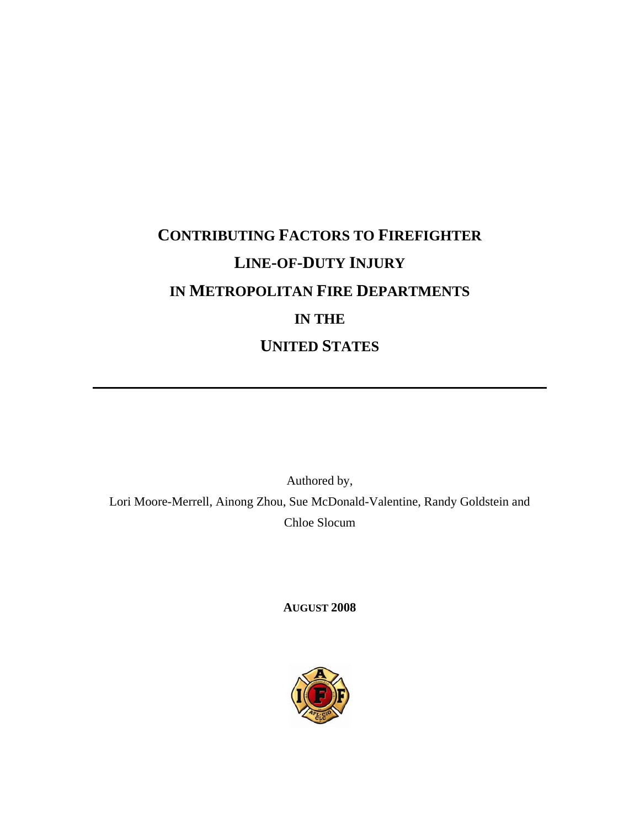# **CONTRIBUTING FACTORS TO FIREFIGHTER LINE-OF-DUTY INJURY IN METROPOLITAN FIRE DEPARTMENTS IN THE UNITED STATES**

Authored by, Lori Moore-Merrell, Ainong Zhou, Sue McDonald-Valentine, Randy Goldstein and Chloe Slocum

**AUGUST 2008** 

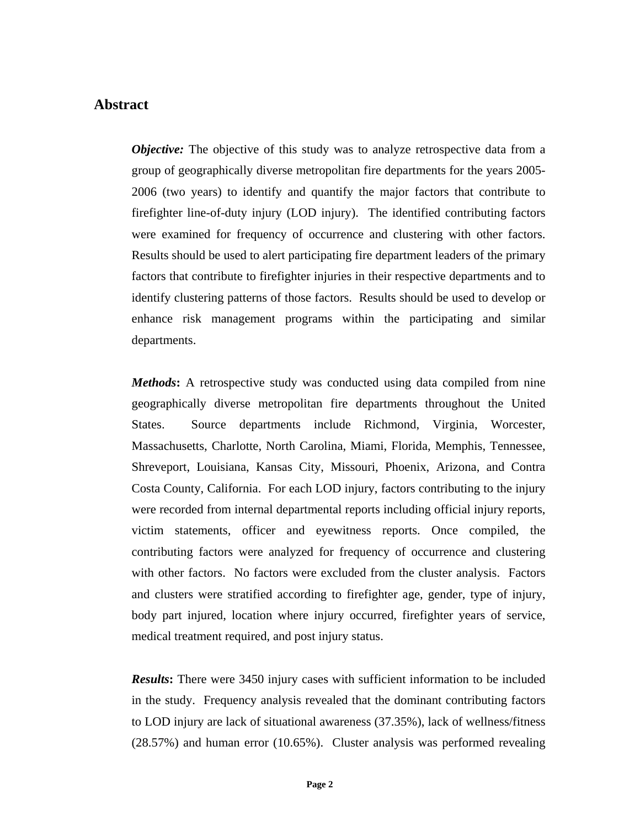# **Abstract**

*Objective:* The objective of this study was to analyze retrospective data from a group of geographically diverse metropolitan fire departments for the years 2005- 2006 (two years) to identify and quantify the major factors that contribute to firefighter line-of-duty injury (LOD injury). The identified contributing factors were examined for frequency of occurrence and clustering with other factors. Results should be used to alert participating fire department leaders of the primary factors that contribute to firefighter injuries in their respective departments and to identify clustering patterns of those factors. Results should be used to develop or enhance risk management programs within the participating and similar departments.

*Methods*: A retrospective study was conducted using data compiled from nine geographically diverse metropolitan fire departments throughout the United States. Source departments include Richmond, Virginia, Worcester, Massachusetts, Charlotte, North Carolina, Miami, Florida, Memphis, Tennessee, Shreveport, Louisiana, Kansas City, Missouri, Phoenix, Arizona, and Contra Costa County, California. For each LOD injury, factors contributing to the injury were recorded from internal departmental reports including official injury reports, victim statements, officer and eyewitness reports. Once compiled, the contributing factors were analyzed for frequency of occurrence and clustering with other factors. No factors were excluded from the cluster analysis. Factors and clusters were stratified according to firefighter age, gender, type of injury, body part injured, location where injury occurred, firefighter years of service, medical treatment required, and post injury status.

*Results***:** There were 3450 injury cases with sufficient information to be included in the study. Frequency analysis revealed that the dominant contributing factors to LOD injury are lack of situational awareness (37.35%), lack of wellness/fitness (28.57%) and human error (10.65%). Cluster analysis was performed revealing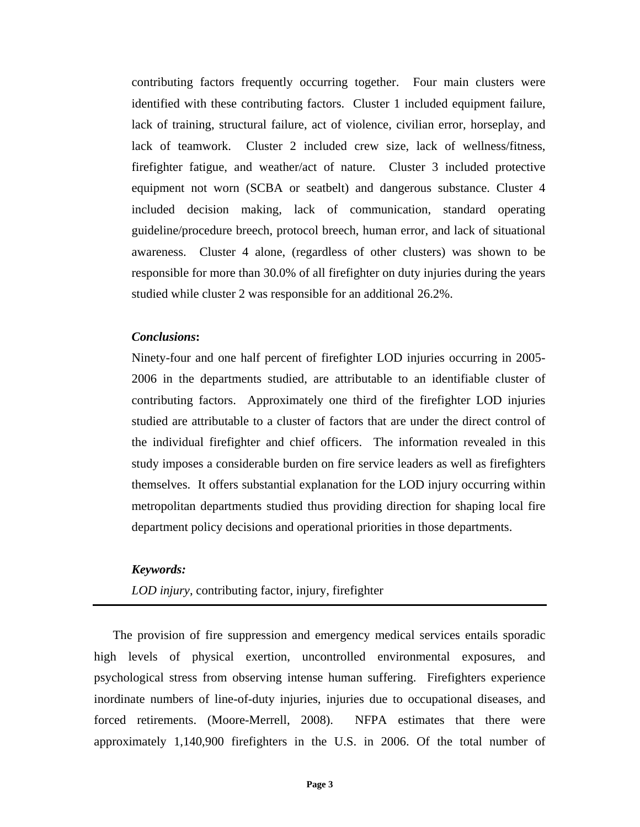contributing factors frequently occurring together. Four main clusters were identified with these contributing factors. Cluster 1 included equipment failure, lack of training, structural failure, act of violence, civilian error, horseplay, and lack of teamwork. Cluster 2 included crew size, lack of wellness/fitness, firefighter fatigue, and weather/act of nature. Cluster 3 included protective equipment not worn (SCBA or seatbelt) and dangerous substance. Cluster 4 included decision making, lack of communication, standard operating guideline/procedure breech, protocol breech, human error, and lack of situational awareness. Cluster 4 alone, (regardless of other clusters) was shown to be responsible for more than 30.0% of all firefighter on duty injuries during the years studied while cluster 2 was responsible for an additional 26.2%.

#### *Conclusions***:**

Ninety-four and one half percent of firefighter LOD injuries occurring in 2005- 2006 in the departments studied, are attributable to an identifiable cluster of contributing factors. Approximately one third of the firefighter LOD injuries studied are attributable to a cluster of factors that are under the direct control of the individual firefighter and chief officers. The information revealed in this study imposes a considerable burden on fire service leaders as well as firefighters themselves. It offers substantial explanation for the LOD injury occurring within metropolitan departments studied thus providing direction for shaping local fire department policy decisions and operational priorities in those departments.

## *Keywords:*

*LOD injury*, contributing factor, injury, firefighter

The provision of fire suppression and emergency medical services entails sporadic high levels of physical exertion, uncontrolled environmental exposures, and psychological stress from observing intense human suffering. Firefighters experience inordinate numbers of line-of-duty injuries, injuries due to occupational diseases, and forced retirements. (Moore-Merrell, 2008). NFPA estimates that there were approximately 1,140,900 firefighters in the U.S. in 2006. Of the total number of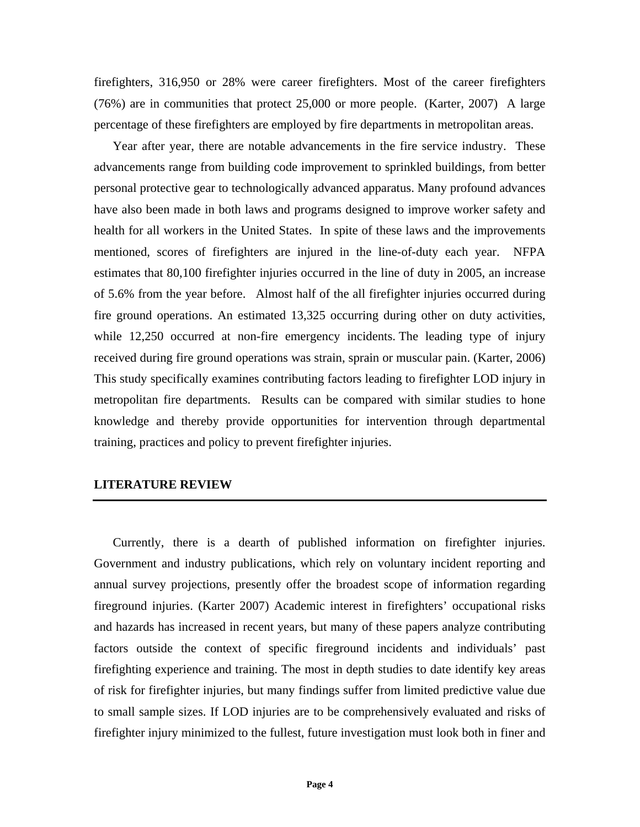firefighters, 316,950 or 28% were career firefighters. Most of the career firefighters (76%) are in communities that protect 25,000 or more people. (Karter, 2007) A large percentage of these firefighters are employed by fire departments in metropolitan areas.

Year after year, there are notable advancements in the fire service industry. These advancements range from building code improvement to sprinkled buildings, from better personal protective gear to technologically advanced apparatus. Many profound advances have also been made in both laws and programs designed to improve worker safety and health for all workers in the United States. In spite of these laws and the improvements mentioned, scores of firefighters are injured in the line-of-duty each year. NFPA estimates that 80,100 firefighter injuries occurred in the line of duty in 2005, an increase of 5.6% from the year before. Almost half of the all firefighter injuries occurred during fire ground operations. An estimated 13,325 occurring during other on duty activities, while 12,250 occurred at non-fire emergency incidents. The leading type of injury received during fire ground operations was strain, sprain or muscular pain. (Karter, 2006) This study specifically examines contributing factors leading to firefighter LOD injury in metropolitan fire departments. Results can be compared with similar studies to hone knowledge and thereby provide opportunities for intervention through departmental training, practices and policy to prevent firefighter injuries.

## **LITERATURE REVIEW**

Currently, there is a dearth of published information on firefighter injuries. Government and industry publications, which rely on voluntary incident reporting and annual survey projections, presently offer the broadest scope of information regarding fireground injuries. (Karter 2007) Academic interest in firefighters' occupational risks and hazards has increased in recent years, but many of these papers analyze contributing factors outside the context of specific fireground incidents and individuals' past firefighting experience and training. The most in depth studies to date identify key areas of risk for firefighter injuries, but many findings suffer from limited predictive value due to small sample sizes. If LOD injuries are to be comprehensively evaluated and risks of firefighter injury minimized to the fullest, future investigation must look both in finer and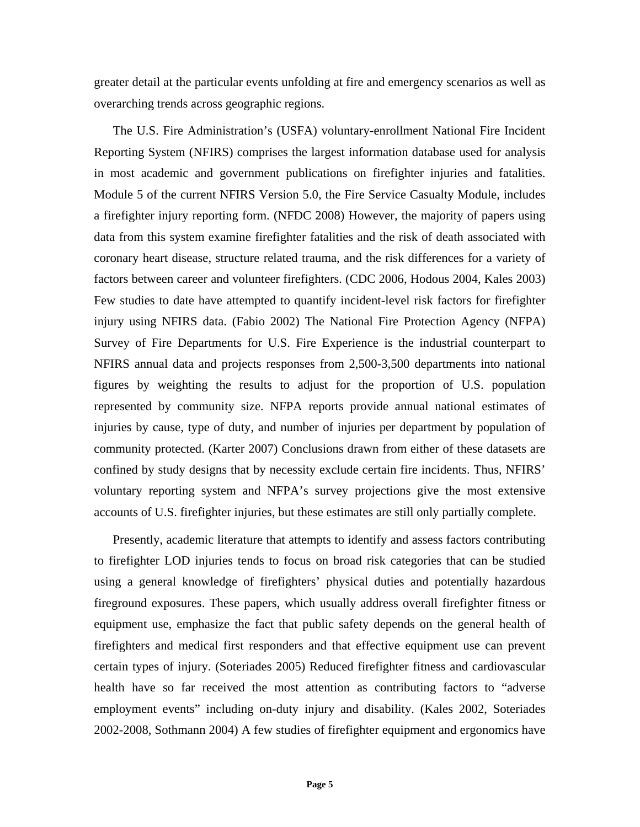greater detail at the particular events unfolding at fire and emergency scenarios as well as overarching trends across geographic regions.

The U.S. Fire Administration's (USFA) voluntary-enrollment National Fire Incident Reporting System (NFIRS) comprises the largest information database used for analysis in most academic and government publications on firefighter injuries and fatalities. Module 5 of the current NFIRS Version 5.0, the Fire Service Casualty Module, includes a firefighter injury reporting form. (NFDC 2008) However, the majority of papers using data from this system examine firefighter fatalities and the risk of death associated with coronary heart disease, structure related trauma, and the risk differences for a variety of factors between career and volunteer firefighters. (CDC 2006, Hodous 2004, Kales 2003) Few studies to date have attempted to quantify incident-level risk factors for firefighter injury using NFIRS data. (Fabio 2002) The National Fire Protection Agency (NFPA) Survey of Fire Departments for U.S. Fire Experience is the industrial counterpart to NFIRS annual data and projects responses from 2,500-3,500 departments into national figures by weighting the results to adjust for the proportion of U.S. population represented by community size. NFPA reports provide annual national estimates of injuries by cause, type of duty, and number of injuries per department by population of community protected. (Karter 2007) Conclusions drawn from either of these datasets are confined by study designs that by necessity exclude certain fire incidents. Thus, NFIRS' voluntary reporting system and NFPA's survey projections give the most extensive accounts of U.S. firefighter injuries, but these estimates are still only partially complete.

Presently, academic literature that attempts to identify and assess factors contributing to firefighter LOD injuries tends to focus on broad risk categories that can be studied using a general knowledge of firefighters' physical duties and potentially hazardous fireground exposures. These papers, which usually address overall firefighter fitness or equipment use, emphasize the fact that public safety depends on the general health of firefighters and medical first responders and that effective equipment use can prevent certain types of injury. (Soteriades 2005) Reduced firefighter fitness and cardiovascular health have so far received the most attention as contributing factors to "adverse employment events" including on-duty injury and disability. (Kales 2002, Soteriades 2002-2008, Sothmann 2004) A few studies of firefighter equipment and ergonomics have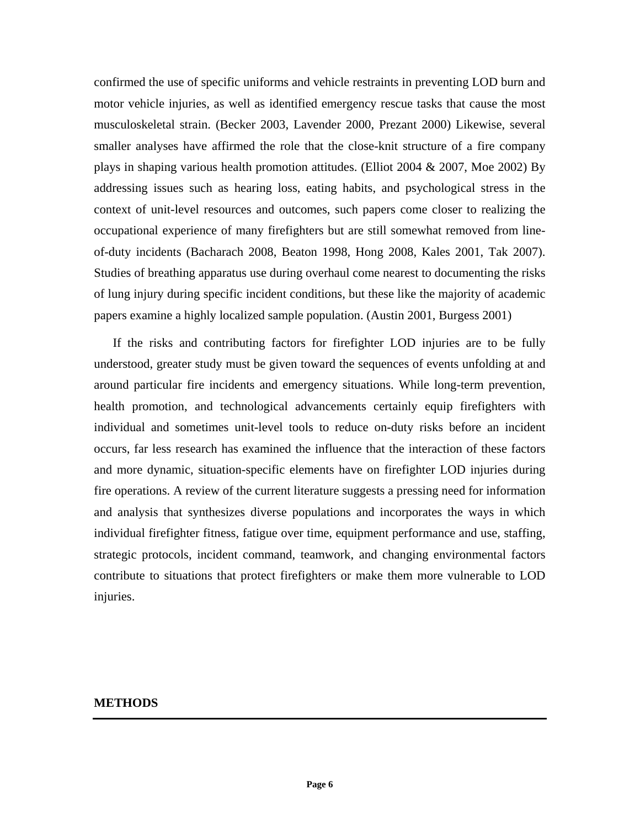confirmed the use of specific uniforms and vehicle restraints in preventing LOD burn and motor vehicle injuries, as well as identified emergency rescue tasks that cause the most musculoskeletal strain. (Becker 2003, Lavender 2000, Prezant 2000) Likewise, several smaller analyses have affirmed the role that the close-knit structure of a fire company plays in shaping various health promotion attitudes. (Elliot 2004 & 2007, Moe 2002) By addressing issues such as hearing loss, eating habits, and psychological stress in the context of unit-level resources and outcomes, such papers come closer to realizing the occupational experience of many firefighters but are still somewhat removed from lineof-duty incidents (Bacharach 2008, Beaton 1998, Hong 2008, Kales 2001, Tak 2007). Studies of breathing apparatus use during overhaul come nearest to documenting the risks of lung injury during specific incident conditions, but these like the majority of academic papers examine a highly localized sample population. (Austin 2001, Burgess 2001)

If the risks and contributing factors for firefighter LOD injuries are to be fully understood, greater study must be given toward the sequences of events unfolding at and around particular fire incidents and emergency situations. While long-term prevention, health promotion, and technological advancements certainly equip firefighters with individual and sometimes unit-level tools to reduce on-duty risks before an incident occurs, far less research has examined the influence that the interaction of these factors and more dynamic, situation-specific elements have on firefighter LOD injuries during fire operations. A review of the current literature suggests a pressing need for information and analysis that synthesizes diverse populations and incorporates the ways in which individual firefighter fitness, fatigue over time, equipment performance and use, staffing, strategic protocols, incident command, teamwork, and changing environmental factors contribute to situations that protect firefighters or make them more vulnerable to LOD injuries.

### **METHODS**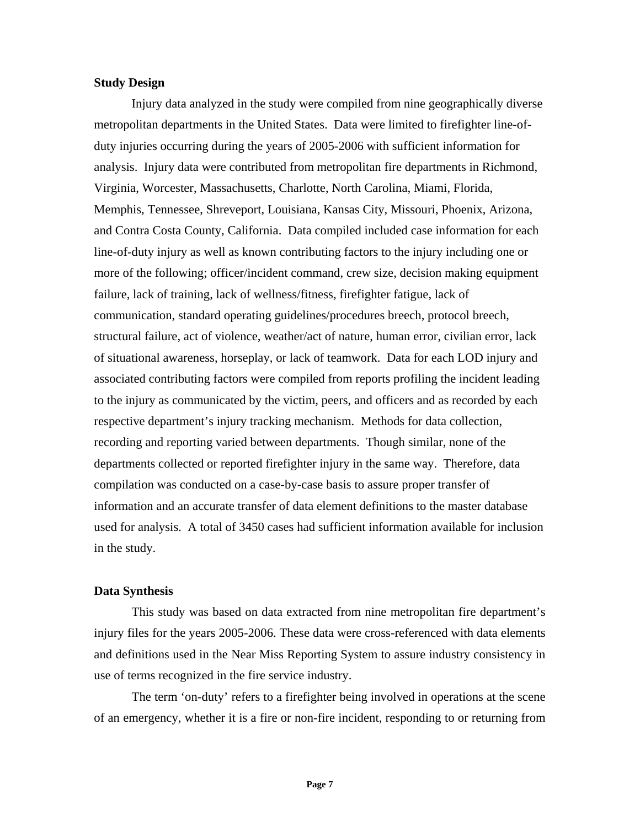#### **Study Design**

Injury data analyzed in the study were compiled from nine geographically diverse metropolitan departments in the United States. Data were limited to firefighter line-ofduty injuries occurring during the years of 2005-2006 with sufficient information for analysis. Injury data were contributed from metropolitan fire departments in Richmond, Virginia, Worcester, Massachusetts, Charlotte, North Carolina, Miami, Florida, Memphis, Tennessee, Shreveport, Louisiana, Kansas City, Missouri, Phoenix, Arizona, and Contra Costa County, California. Data compiled included case information for each line-of-duty injury as well as known contributing factors to the injury including one or more of the following; officer/incident command, crew size, decision making equipment failure, lack of training, lack of wellness/fitness, firefighter fatigue, lack of communication, standard operating guidelines/procedures breech, protocol breech, structural failure, act of violence, weather/act of nature, human error, civilian error, lack of situational awareness, horseplay, or lack of teamwork. Data for each LOD injury and associated contributing factors were compiled from reports profiling the incident leading to the injury as communicated by the victim, peers, and officers and as recorded by each respective department's injury tracking mechanism. Methods for data collection, recording and reporting varied between departments. Though similar, none of the departments collected or reported firefighter injury in the same way. Therefore, data compilation was conducted on a case-by-case basis to assure proper transfer of information and an accurate transfer of data element definitions to the master database used for analysis. A total of 3450 cases had sufficient information available for inclusion in the study.

## **Data Synthesis**

This study was based on data extracted from nine metropolitan fire department's injury files for the years 2005-2006. These data were cross-referenced with data elements and definitions used in the Near Miss Reporting System to assure industry consistency in use of terms recognized in the fire service industry.

The term 'on-duty' refers to a firefighter being involved in operations at the scene of an emergency, whether it is a fire or non-fire incident, responding to or returning from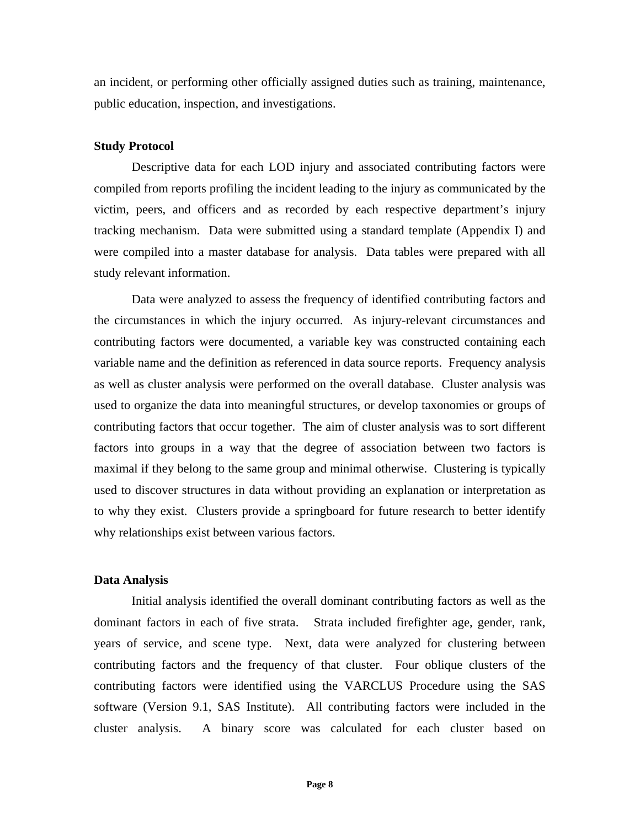an incident, or performing other officially assigned duties such as training, maintenance, public education, inspection, and investigations.

## **Study Protocol**

Descriptive data for each LOD injury and associated contributing factors were compiled from reports profiling the incident leading to the injury as communicated by the victim, peers, and officers and as recorded by each respective department's injury tracking mechanism. Data were submitted using a standard template (Appendix I) and were compiled into a master database for analysis. Data tables were prepared with all study relevant information.

Data were analyzed to assess the frequency of identified contributing factors and the circumstances in which the injury occurred. As injury-relevant circumstances and contributing factors were documented, a variable key was constructed containing each variable name and the definition as referenced in data source reports. Frequency analysis as well as cluster analysis were performed on the overall database. Cluster analysis was used to organize the data into meaningful structures, or develop taxonomies or groups of contributing factors that occur together. The aim of cluster analysis was to sort different factors into groups in a way that the degree of association between two factors is maximal if they belong to the same group and minimal otherwise. Clustering is typically used to discover structures in data without providing an explanation or interpretation as to why they exist. Clusters provide a springboard for future research to better identify why relationships exist between various factors.

## **Data Analysis**

Initial analysis identified the overall dominant contributing factors as well as the dominant factors in each of five strata. Strata included firefighter age, gender, rank, years of service, and scene type. Next, data were analyzed for clustering between contributing factors and the frequency of that cluster. Four oblique clusters of the contributing factors were identified using the VARCLUS Procedure using the SAS software (Version 9.1, SAS Institute). All contributing factors were included in the cluster analysis. A binary score was calculated for each cluster based on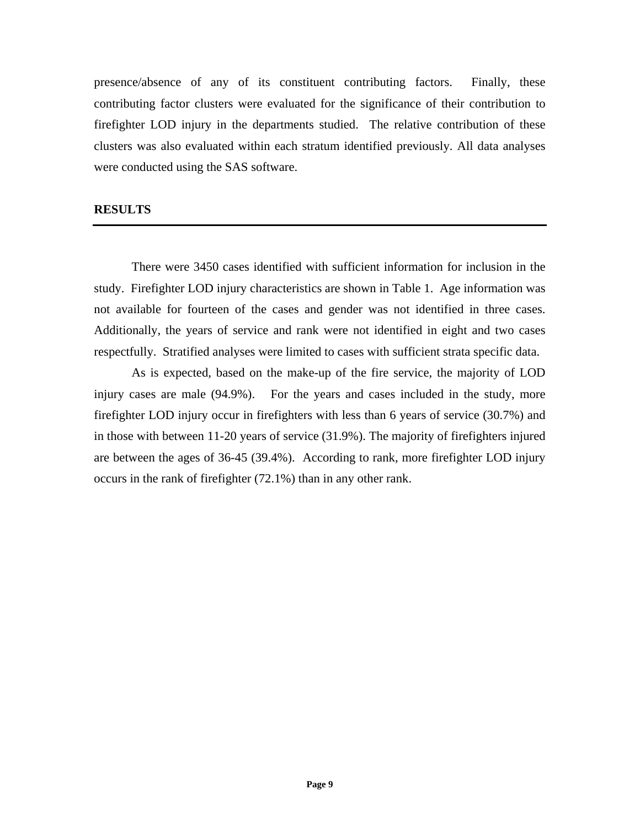presence/absence of any of its constituent contributing factors. Finally, these contributing factor clusters were evaluated for the significance of their contribution to firefighter LOD injury in the departments studied. The relative contribution of these clusters was also evaluated within each stratum identified previously. All data analyses were conducted using the SAS software.

# **RESULTS**

There were 3450 cases identified with sufficient information for inclusion in the study. Firefighter LOD injury characteristics are shown in Table 1. Age information was not available for fourteen of the cases and gender was not identified in three cases. Additionally, the years of service and rank were not identified in eight and two cases respectfully. Stratified analyses were limited to cases with sufficient strata specific data.

As is expected, based on the make-up of the fire service, the majority of LOD injury cases are male (94.9%). For the years and cases included in the study, more firefighter LOD injury occur in firefighters with less than 6 years of service (30.7%) and in those with between 11-20 years of service (31.9%). The majority of firefighters injured are between the ages of 36-45 (39.4%). According to rank, more firefighter LOD injury occurs in the rank of firefighter (72.1%) than in any other rank.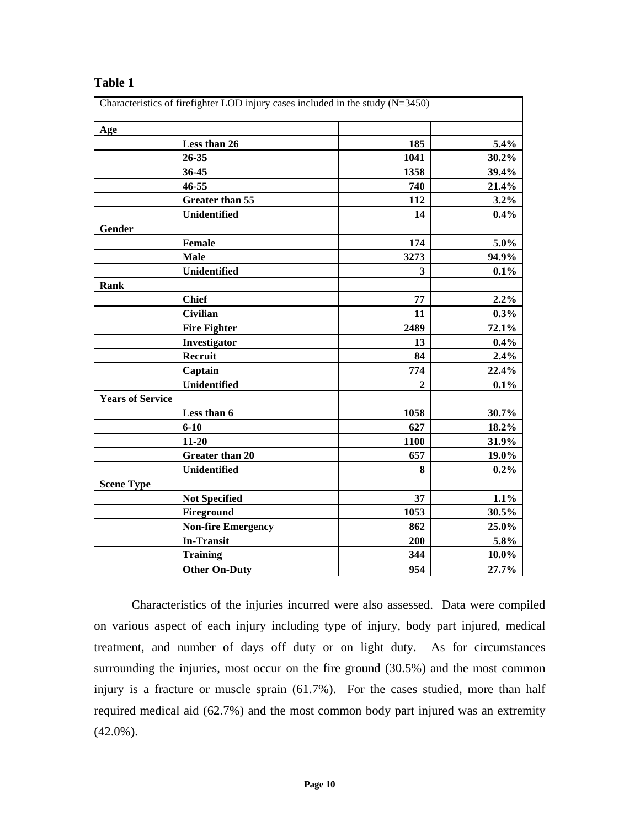# **Table 1**

| Age                     |                           |                |          |
|-------------------------|---------------------------|----------------|----------|
|                         | Less than 26              | 185            | 5.4%     |
|                         | 26-35                     | 1041           | 30.2%    |
|                         | 36-45                     | 1358           | 39.4%    |
|                         | 46-55                     | 740            | 21.4%    |
|                         | <b>Greater than 55</b>    | 112            | 3.2%     |
|                         | Unidentified              | 14             | 0.4%     |
| Gender                  |                           |                |          |
|                         | <b>Female</b>             | 174            | 5.0%     |
|                         | <b>Male</b>               | 3273           | 94.9%    |
|                         | Unidentified              | 3              | $0.1\%$  |
| <b>Rank</b>             |                           |                |          |
|                         | <b>Chief</b>              | 77             | 2.2%     |
|                         | Civilian                  | 11             | 0.3%     |
|                         | <b>Fire Fighter</b>       | 2489           | 72.1%    |
|                         | Investigator              | 13             | 0.4%     |
|                         | Recruit                   | 84             | 2.4%     |
|                         | Captain                   | 774            | 22.4%    |
|                         | Unidentified              | $\overline{2}$ | 0.1%     |
| <b>Years of Service</b> |                           |                |          |
|                         | Less than 6               | 1058           | 30.7%    |
|                         | $6 - 10$                  | 627            | 18.2%    |
|                         | $11 - 20$                 | 1100           | 31.9%    |
|                         | <b>Greater than 20</b>    | 657            | 19.0%    |
|                         | Unidentified              | 8              | $0.2\%$  |
| <b>Scene Type</b>       |                           |                |          |
|                         | <b>Not Specified</b>      | 37             | 1.1%     |
|                         | Fireground                | 1053           | 30.5%    |
|                         | <b>Non-fire Emergency</b> | 862            | 25.0%    |
|                         | <b>In-Transit</b>         | 200            | 5.8%     |
|                         | <b>Training</b>           | 344            | $10.0\%$ |
|                         | <b>Other On-Duty</b>      | 954            | 27.7%    |

Characteristics of the injuries incurred were also assessed. Data were compiled on various aspect of each injury including type of injury, body part injured, medical treatment, and number of days off duty or on light duty. As for circumstances surrounding the injuries, most occur on the fire ground (30.5%) and the most common injury is a fracture or muscle sprain (61.7%). For the cases studied, more than half required medical aid (62.7%) and the most common body part injured was an extremity  $(42.0\%)$ .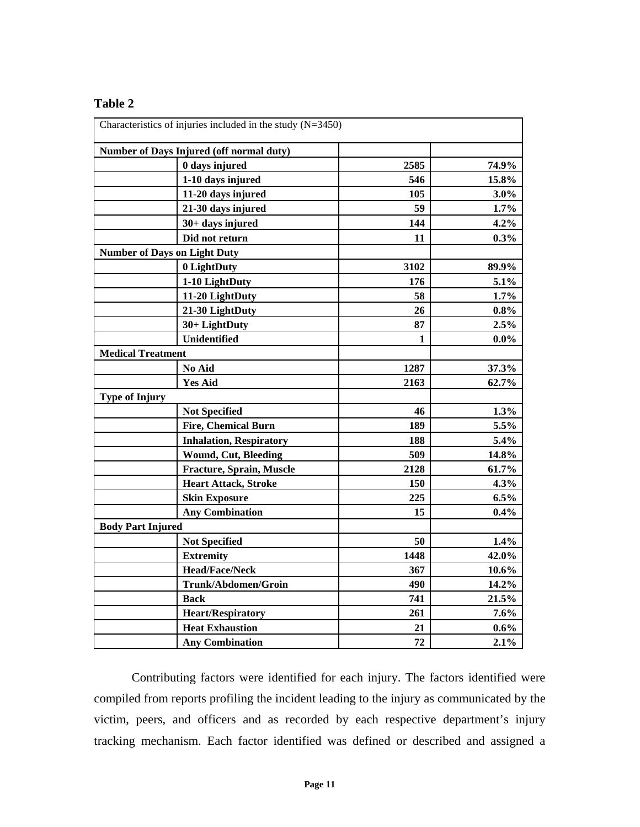# **Table 2**

|                          | Characteristics of injuries included in the study $(N=3450)$ |      |          |
|--------------------------|--------------------------------------------------------------|------|----------|
|                          | Number of Days Injured (off normal duty)                     |      |          |
|                          | 0 days injured                                               | 2585 | 74.9%    |
|                          | 1-10 days injured                                            | 546  | 15.8%    |
|                          | 11-20 days injured                                           | 105  | 3.0%     |
|                          | 21-30 days injured                                           | 59   | 1.7%     |
|                          | 30+ days injured                                             | 144  | 4.2%     |
|                          | Did not return                                               | 11   | 0.3%     |
|                          | <b>Number of Days on Light Duty</b>                          |      |          |
|                          | 0 LightDuty                                                  | 3102 | 89.9%    |
|                          | 1-10 LightDuty                                               | 176  | 5.1%     |
|                          | 11-20 LightDuty                                              | 58   | 1.7%     |
|                          | 21-30 LightDuty                                              | 26   | $0.8\%$  |
|                          | 30+ LightDuty                                                | 87   | 2.5%     |
|                          | <b>Unidentified</b>                                          | 1    | $0.0\%$  |
| <b>Medical Treatment</b> |                                                              |      |          |
|                          | No Aid                                                       | 1287 | 37.3%    |
|                          | <b>Yes Aid</b>                                               | 2163 | 62.7%    |
| <b>Type of Injury</b>    |                                                              |      |          |
|                          | <b>Not Specified</b>                                         | 46   | 1.3%     |
|                          | <b>Fire, Chemical Burn</b>                                   | 189  | 5.5%     |
|                          | <b>Inhalation, Respiratory</b>                               | 188  | 5.4%     |
|                          | <b>Wound, Cut, Bleeding</b>                                  | 509  | 14.8%    |
|                          | Fracture, Sprain, Muscle                                     | 2128 | 61.7%    |
|                          | <b>Heart Attack, Stroke</b>                                  | 150  | 4.3%     |
|                          | <b>Skin Exposure</b>                                         | 225  | $6.5\%$  |
|                          | <b>Any Combination</b>                                       | 15   | 0.4%     |
| <b>Body Part Injured</b> |                                                              |      |          |
|                          | <b>Not Specified</b>                                         | 50   | 1.4%     |
|                          | <b>Extremity</b>                                             | 1448 | 42.0%    |
|                          | <b>Head/Face/Neck</b>                                        | 367  | $10.6\%$ |
|                          | Trunk/Abdomen/Groin                                          | 490  | 14.2%    |
|                          | <b>Back</b>                                                  | 741  | 21.5%    |
|                          | <b>Heart/Respiratory</b>                                     | 261  | 7.6%     |
|                          | <b>Heat Exhaustion</b>                                       | 21   | $0.6\%$  |
|                          | <b>Any Combination</b>                                       | 72   | 2.1%     |

Contributing factors were identified for each injury. The factors identified were compiled from reports profiling the incident leading to the injury as communicated by the victim, peers, and officers and as recorded by each respective department's injury tracking mechanism. Each factor identified was defined or described and assigned a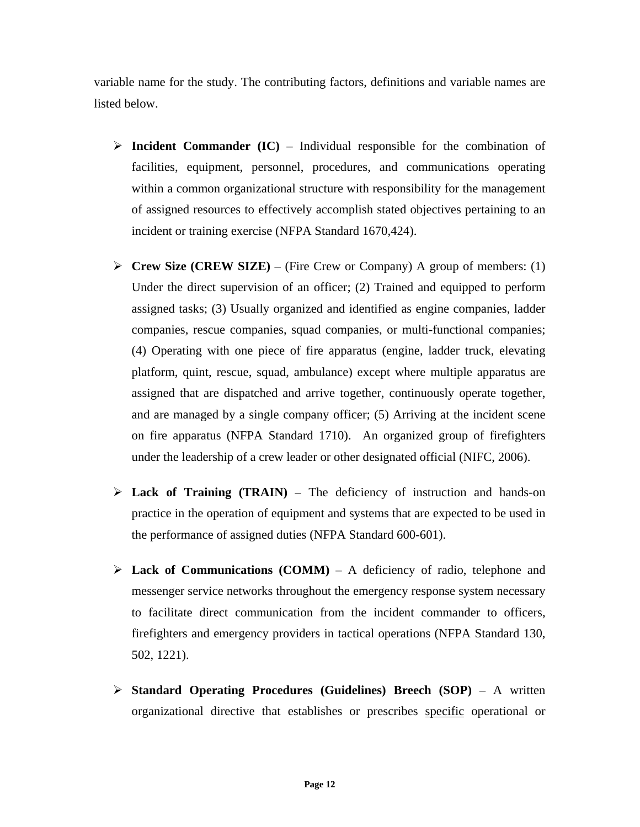variable name for the study. The contributing factors, definitions and variable names are listed below.

- $\triangleright$  **Incident Commander (IC)** Individual responsible for the combination of facilities, equipment, personnel, procedures, and communications operating within a common organizational structure with responsibility for the management of assigned resources to effectively accomplish stated objectives pertaining to an incident or training exercise (NFPA Standard 1670,424).
- ¾ **Crew Size (CREW SIZE)** (Fire Crew or Company) A group of members: (1) Under the direct supervision of an officer; (2) Trained and equipped to perform assigned tasks; (3) Usually organized and identified as engine companies, ladder companies, rescue companies, squad companies, or multi-functional companies; (4) Operating with one piece of fire apparatus (engine, ladder truck, elevating platform, quint, rescue, squad, ambulance) except where multiple apparatus are assigned that are dispatched and arrive together, continuously operate together, and are managed by a single company officer; (5) Arriving at the incident scene on fire apparatus (NFPA Standard 1710). An organized group of firefighters under the leadership of a crew leader or other designated official (NIFC, 2006).
- $\triangleright$  **Lack of Training (TRAIN)** The deficiency of instruction and hands-on practice in the operation of equipment and systems that are expected to be used in the performance of assigned duties (NFPA Standard 600-601).
- $\triangleright$  **Lack of Communications (COMM)** A deficiency of radio, telephone and messenger service networks throughout the emergency response system necessary to facilitate direct communication from the incident commander to officers, firefighters and emergency providers in tactical operations (NFPA Standard 130, 502, 1221).
- ¾ **Standard Operating Procedures (Guidelines) Breech (SOP)** A written organizational directive that establishes or prescribes specific operational or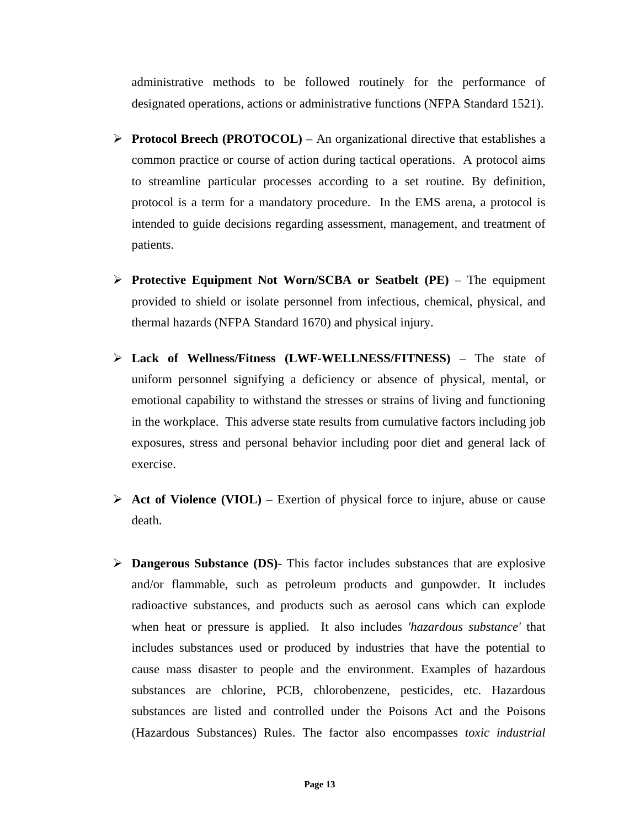administrative methods to be followed routinely for the performance of designated operations, actions or administrative functions (NFPA Standard 1521).

- $\triangleright$  **Protocol Breech (PROTOCOL)** An organizational directive that establishes a common practice or course of action during tactical operations. A protocol aims to streamline particular processes according to a set routine. By definition, protocol is a term for a mandatory procedure. In the EMS arena, a protocol is intended to guide decisions regarding assessment, management, and treatment of patients.
- ¾ **Protective Equipment Not Worn/SCBA or Seatbelt (PE)** The equipment provided to shield or isolate personnel from infectious, chemical, physical, and thermal hazards (NFPA Standard 1670) and physical injury.
- ¾ **Lack of Wellness/Fitness (LWF-WELLNESS/FITNESS)** The state of uniform personnel signifying a deficiency or absence of physical, mental, or emotional capability to withstand the stresses or strains of living and functioning in the workplace. This adverse state results from cumulative factors including job exposures, stress and personal behavior including poor diet and general lack of exercise.
- ¾ **Act of Violence (VIOL)** Exertion of physical force to injure, abuse or cause death.
- ¾ **Dangerous Substance (DS)** This factor includes substances that are explosive and/or flammable, such as petroleum products and gunpowder. It includes radioactive substances, and products such as aerosol cans which can explode when heat or pressure is applied. It also includes *'hazardous substance'* that includes substances used or produced by industries that have the potential to cause mass disaster to people and the environment. Examples of hazardous substances are chlorine, PCB, chlorobenzene, pesticides, etc. Hazardous substances are listed and controlled under the Poisons Act and the Poisons (Hazardous Substances) Rules. The factor also encompasses *toxic industrial*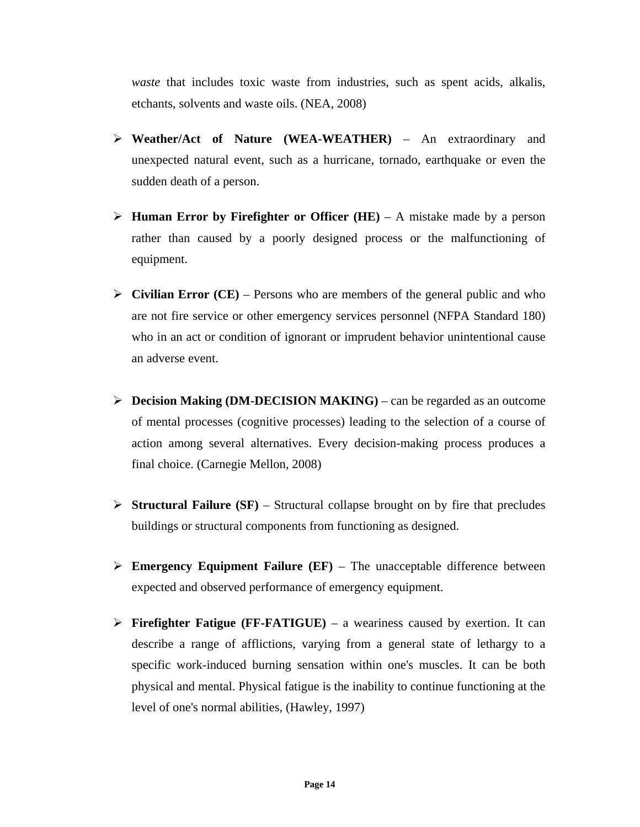*waste* that includes toxic waste from industries, such as spent acids, alkalis, etchants, solvents and waste oils. (NEA, 2008)

- ¾ **Weather/Act of Nature (WEA-WEATHER)** An extraordinary and unexpected natural event, such as a hurricane, tornado, earthquake or even the sudden death of a person.
- ¾ **Human Error by Firefighter or Officer (HE)** A mistake made by a person rather than caused by a poorly designed process or the malfunctioning of equipment.
- $\triangleright$  **Civilian Error (CE)** Persons who are members of the general public and who are not fire service or other emergency services personnel (NFPA Standard 180) who in an act or condition of ignorant or imprudent behavior unintentional cause an adverse event.
- ¾ **Decision Making (DM-DECISION MAKING)** can be regarded as an outcome of mental processes (cognitive processes) leading to the selection of a course of action among several alternatives. Every decision-making process produces a final choice. (Carnegie Mellon, 2008)
- $\triangleright$  **Structural Failure (SF)** Structural collapse brought on by fire that precludes buildings or structural components from functioning as designed.
- $\triangleright$  **Emergency Equipment Failure (EF)** The unacceptable difference between expected and observed performance of emergency equipment.
- ¾ **Firefighter Fatigue (FF-FATIGUE)** a weariness caused by exertion. It can describe a range of afflictions, varying from a general state of lethargy to a specific work-induced burning sensation within one's muscles. It can be both physical and mental. Physical fatigue is the inability to continue functioning at the level of one's normal abilities, (Hawley, 1997)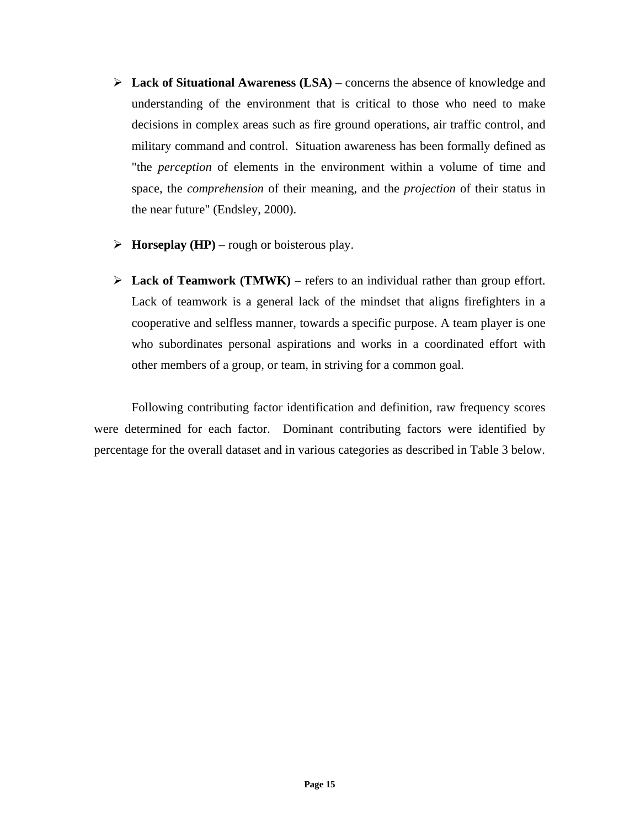- ¾ **Lack of Situational Awareness (LSA)** concerns the absence of knowledge and understanding of the environment that is critical to those who need to make decisions in complex areas such as fire ground operations, air traffic control, and military command and control. Situation awareness has been formally defined as "the *perception* of elements in the environment within a volume of time and space, the *comprehension* of their meaning, and the *projection* of their status in the near future" (Endsley, 2000).
- $\triangleright$  **Horseplay (HP)** rough or boisterous play.
- $\triangleright$  **Lack of Teamwork (TMWK)** refers to an individual rather than group effort. Lack of teamwork is a general lack of the mindset that aligns firefighters in a cooperative and selfless manner, towards a specific purpose. A team player is one who subordinates personal aspirations and works in a coordinated effort with other members of a group, or team, in striving for a common goal.

Following contributing factor identification and definition, raw frequency scores were determined for each factor. Dominant contributing factors were identified by percentage for the overall dataset and in various categories as described in Table 3 below.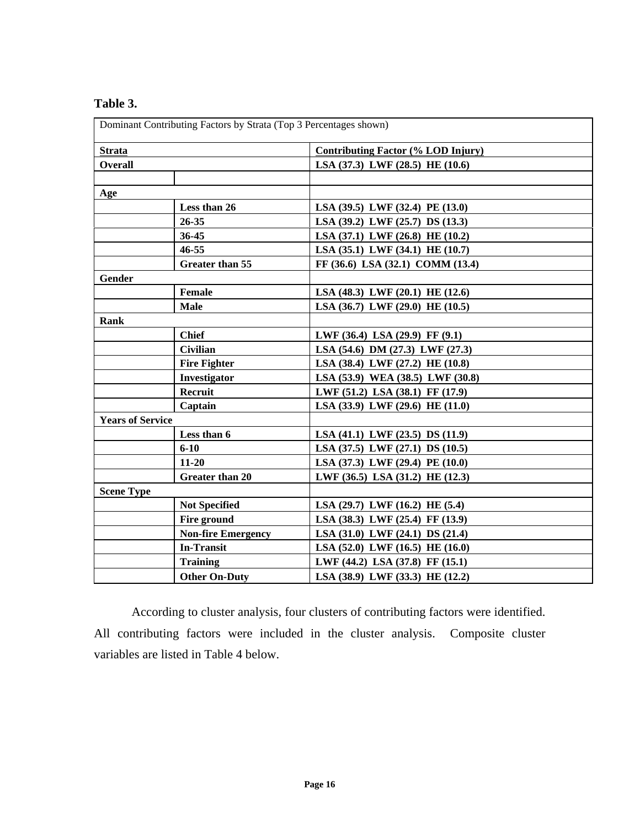| Dominant Contributing Factors by Strata (Top 3 Percentages shown) |                           |                                           |  |
|-------------------------------------------------------------------|---------------------------|-------------------------------------------|--|
| <b>Strata</b>                                                     |                           | <b>Contributing Factor (% LOD Injury)</b> |  |
| <b>Overall</b>                                                    |                           | LSA (37.3) LWF (28.5) HE (10.6)           |  |
|                                                                   |                           |                                           |  |
| Age                                                               |                           |                                           |  |
|                                                                   | Less than 26              | LSA (39.5) LWF (32.4) PE (13.0)           |  |
|                                                                   | $26 - 35$                 | LSA (39.2) LWF (25.7) DS (13.3)           |  |
|                                                                   | 36-45                     | LSA (37.1) LWF (26.8) HE (10.2)           |  |
|                                                                   | $46 - 55$                 | LSA $(35.1)$ LWF $(34.1)$ HE $(10.7)$     |  |
|                                                                   | <b>Greater than 55</b>    | FF (36.6) LSA (32.1) COMM (13.4)          |  |
| <b>Gender</b>                                                     |                           |                                           |  |
|                                                                   | Female                    | LSA $(48.3)$ LWF $(20.1)$ HE $(12.6)$     |  |
|                                                                   | <b>Male</b>               | LSA (36.7) LWF (29.0) HE (10.5)           |  |
| <b>Rank</b>                                                       |                           |                                           |  |
|                                                                   | <b>Chief</b>              | LWF $(36.4)$ LSA $(29.9)$ FF $(9.1)$      |  |
|                                                                   | <b>Civilian</b>           | LSA (54.6) DM (27.3) LWF (27.3)           |  |
|                                                                   | <b>Fire Fighter</b>       | LSA (38.4) LWF (27.2) HE (10.8)           |  |
|                                                                   | Investigator              | LSA (53.9) WEA (38.5) LWF (30.8)          |  |
|                                                                   | Recruit                   | LWF (51.2) LSA (38.1) FF (17.9)           |  |
|                                                                   | Captain                   | LSA (33.9) LWF (29.6) HE (11.0)           |  |
| <b>Years of Service</b>                                           |                           |                                           |  |
|                                                                   | Less than 6               | LSA (41.1) LWF (23.5) DS (11.9)           |  |
|                                                                   | $6 - 10$                  | LSA (37.5) LWF (27.1) DS (10.5)           |  |
|                                                                   | $11 - 20$                 | LSA (37.3) LWF (29.4) PE (10.0)           |  |
|                                                                   | <b>Greater than 20</b>    | LWF (36.5) LSA (31.2) HE (12.3)           |  |
| <b>Scene Type</b>                                                 |                           |                                           |  |
|                                                                   | <b>Not Specified</b>      | LSA $(29.7)$ LWF $(16.2)$ HE $(5.4)$      |  |
|                                                                   | Fire ground               | LSA (38.3) LWF (25.4) FF (13.9)           |  |
|                                                                   | <b>Non-fire Emergency</b> | LSA (31.0) LWF (24.1) DS (21.4)           |  |
|                                                                   | <b>In-Transit</b>         | LSA $(52.0)$ LWF $(16.5)$ HE $(16.0)$     |  |
|                                                                   | <b>Training</b>           | LWF (44.2) LSA (37.8) FF (15.1)           |  |
|                                                                   | <b>Other On-Duty</b>      | LSA (38.9) LWF (33.3) HE (12.2)           |  |

# **Table 3.**

According to cluster analysis, four clusters of contributing factors were identified. All contributing factors were included in the cluster analysis. Composite cluster variables are listed in Table 4 below.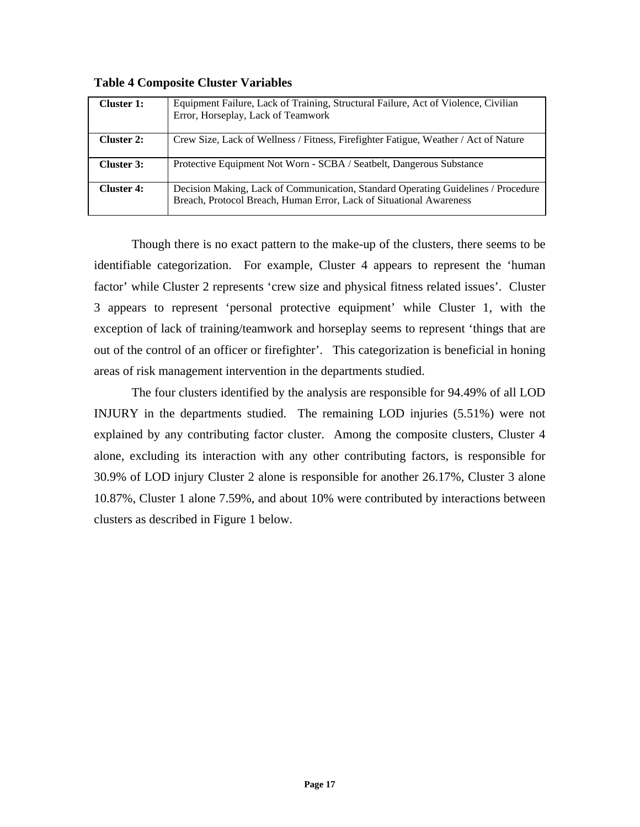| Cluster 1:        | Equipment Failure, Lack of Training, Structural Failure, Act of Violence, Civilian<br>Error, Horseplay, Lack of Teamwork                                 |
|-------------------|----------------------------------------------------------------------------------------------------------------------------------------------------------|
| <b>Cluster 2:</b> | Crew Size, Lack of Wellness / Fitness, Firefighter Fatigue, Weather / Act of Nature                                                                      |
| Cluster 3:        | Protective Equipment Not Worn - SCBA / Seatbelt, Dangerous Substance                                                                                     |
| <b>Cluster 4:</b> | Decision Making, Lack of Communication, Standard Operating Guidelines / Procedure<br>Breach, Protocol Breach, Human Error, Lack of Situational Awareness |

**Table 4 Composite Cluster Variables** 

Though there is no exact pattern to the make-up of the clusters, there seems to be identifiable categorization. For example, Cluster 4 appears to represent the 'human factor' while Cluster 2 represents 'crew size and physical fitness related issues'. Cluster 3 appears to represent 'personal protective equipment' while Cluster 1, with the exception of lack of training/teamwork and horseplay seems to represent 'things that are out of the control of an officer or firefighter'. This categorization is beneficial in honing areas of risk management intervention in the departments studied.

The four clusters identified by the analysis are responsible for 94.49% of all LOD INJURY in the departments studied. The remaining LOD injuries (5.51%) were not explained by any contributing factor cluster. Among the composite clusters, Cluster 4 alone, excluding its interaction with any other contributing factors, is responsible for 30.9% of LOD injury Cluster 2 alone is responsible for another 26.17%, Cluster 3 alone 10.87%, Cluster 1 alone 7.59%, and about 10% were contributed by interactions between clusters as described in Figure 1 below.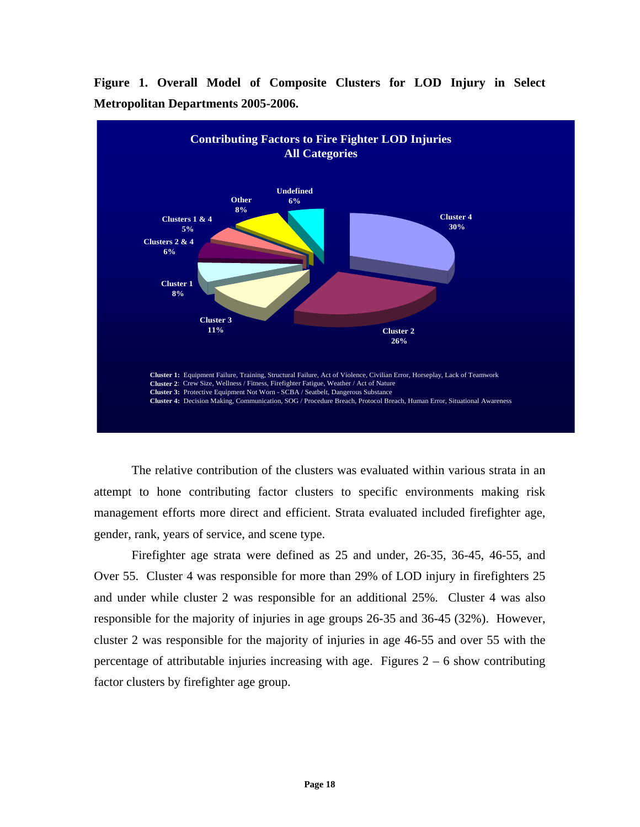

**Figure 1. Overall Model of Composite Clusters for LOD Injury in Select Metropolitan Departments 2005-2006.**

The relative contribution of the clusters was evaluated within various strata in an attempt to hone contributing factor clusters to specific environments making risk management efforts more direct and efficient. Strata evaluated included firefighter age, gender, rank, years of service, and scene type.

Firefighter age strata were defined as 25 and under, 26-35, 36-45, 46-55, and Over 55. Cluster 4 was responsible for more than 29% of LOD injury in firefighters 25 and under while cluster 2 was responsible for an additional 25%. Cluster 4 was also responsible for the majority of injuries in age groups 26-35 and 36-45 (32%). However, cluster 2 was responsible for the majority of injuries in age 46-55 and over 55 with the percentage of attributable injuries increasing with age. Figures  $2 - 6$  show contributing factor clusters by firefighter age group.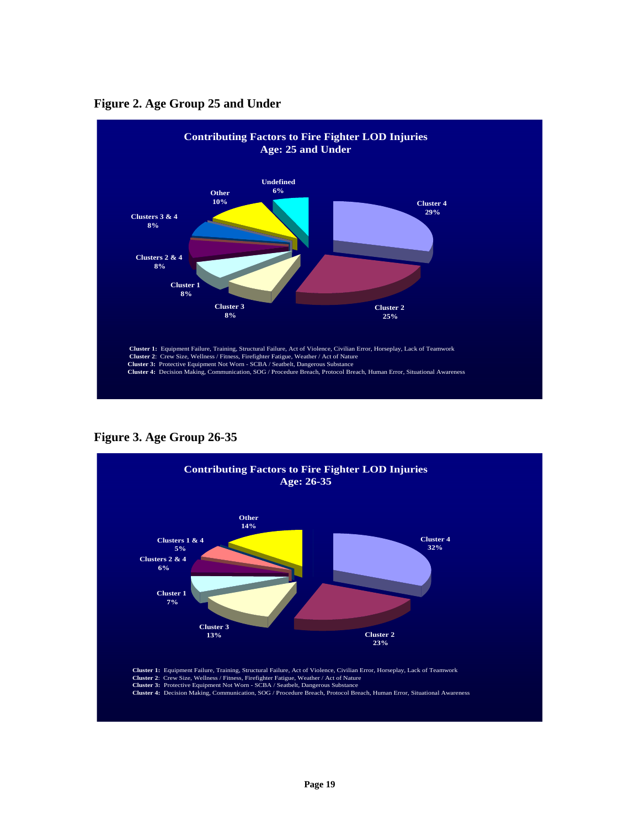

**Figure 2. Age Group 25 and Under**

**Figure 3. Age Group 26-35** 

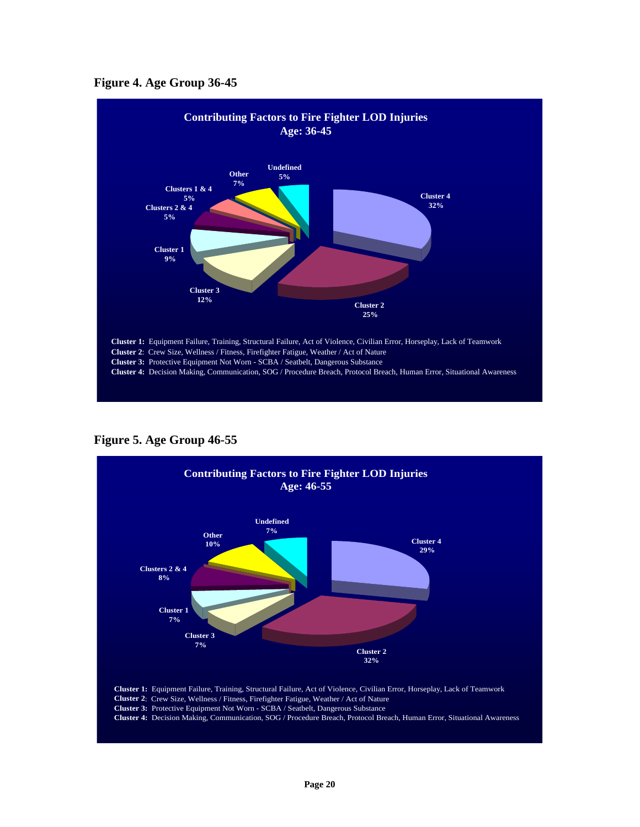



**Figure 5. Age Group 46-55** 

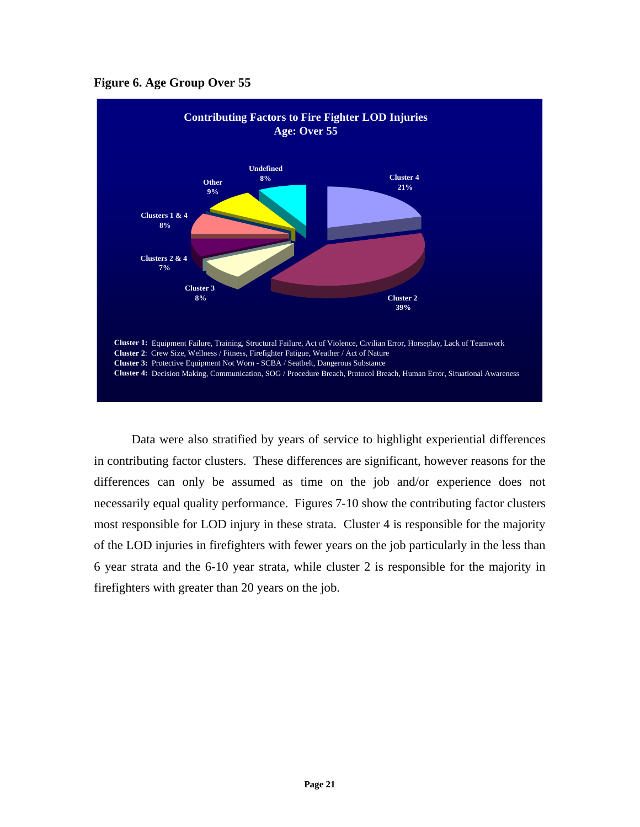



Data were also stratified by years of service to highlight experiential differences in contributing factor clusters. These differences are significant, however reasons for the differences can only be assumed as time on the job and/or experience does not necessarily equal quality performance. Figures 7-10 show the contributing factor clusters most responsible for LOD injury in these strata. Cluster 4 is responsible for the majority of the LOD injuries in firefighters with fewer years on the job particularly in the less than 6 year strata and the 6-10 year strata, while cluster 2 is responsible for the majority in firefighters with greater than 20 years on the job.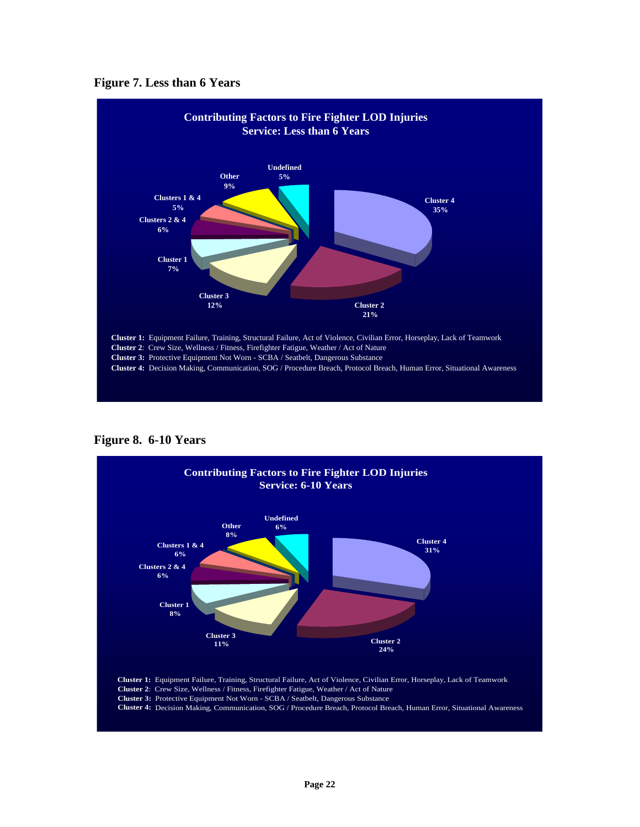



**Figure 8. 6-10 Years** 

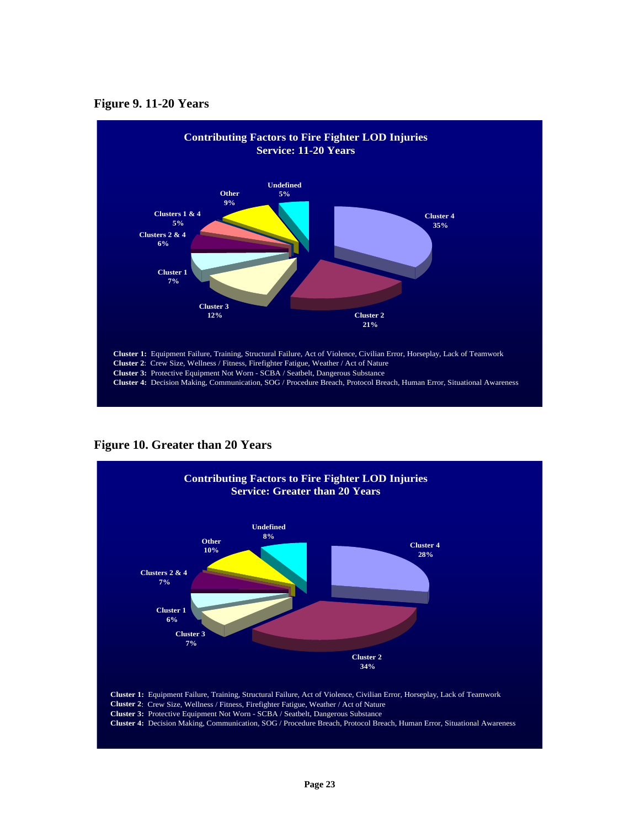



**Figure 10. Greater than 20 Years** 

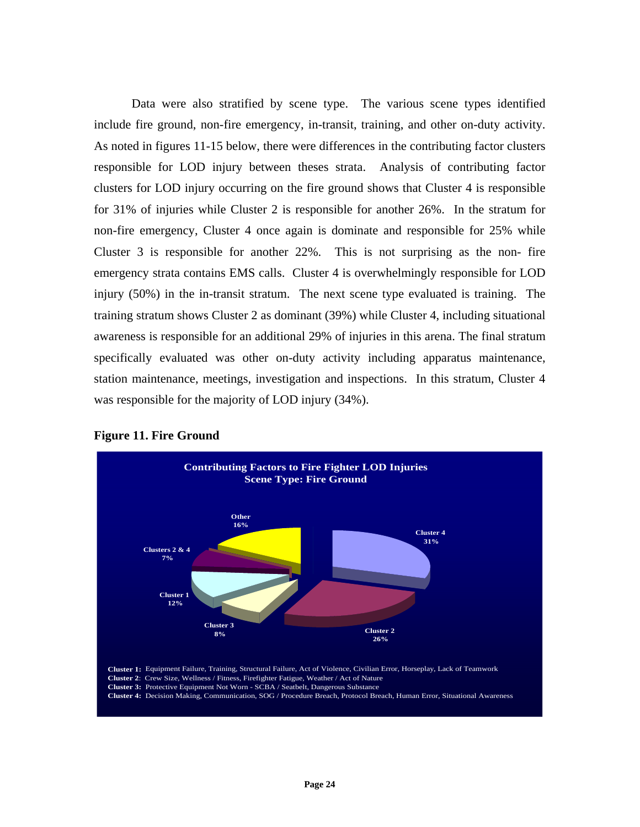Data were also stratified by scene type. The various scene types identified include fire ground, non-fire emergency, in-transit, training, and other on-duty activity. As noted in figures 11-15 below, there were differences in the contributing factor clusters responsible for LOD injury between theses strata. Analysis of contributing factor clusters for LOD injury occurring on the fire ground shows that Cluster 4 is responsible for 31% of injuries while Cluster 2 is responsible for another 26%. In the stratum for non-fire emergency, Cluster 4 once again is dominate and responsible for 25% while Cluster 3 is responsible for another 22%. This is not surprising as the non- fire emergency strata contains EMS calls. Cluster 4 is overwhelmingly responsible for LOD injury (50%) in the in-transit stratum. The next scene type evaluated is training. The training stratum shows Cluster 2 as dominant (39%) while Cluster 4, including situational awareness is responsible for an additional 29% of injuries in this arena. The final stratum specifically evaluated was other on-duty activity including apparatus maintenance, station maintenance, meetings, investigation and inspections. In this stratum, Cluster 4 was responsible for the majority of LOD injury (34%).



## **Figure 11. Fire Ground**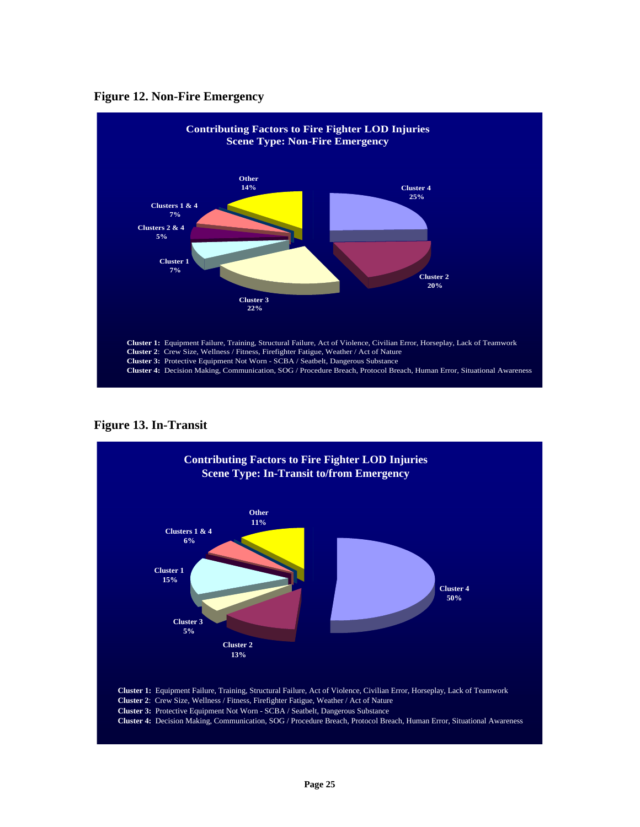



**Figure 13. In-Transit** 

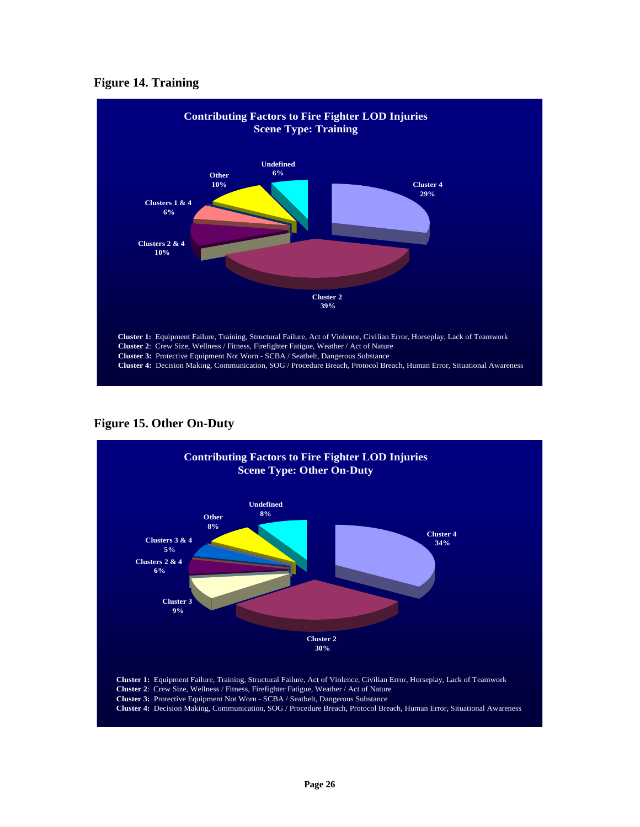# **Figure 14. Training**



**Figure 15. Other On-Duty** 

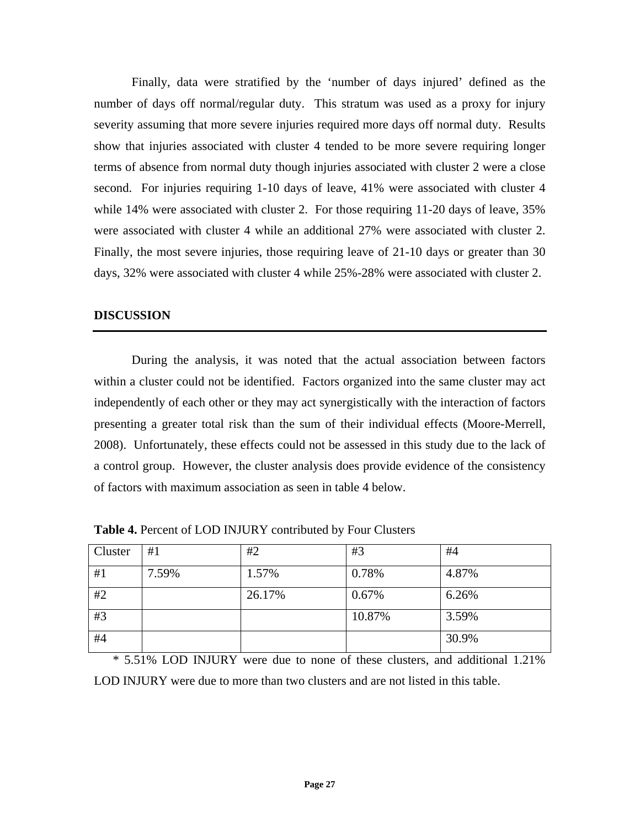Finally, data were stratified by the 'number of days injured' defined as the number of days off normal/regular duty. This stratum was used as a proxy for injury severity assuming that more severe injuries required more days off normal duty. Results show that injuries associated with cluster 4 tended to be more severe requiring longer terms of absence from normal duty though injuries associated with cluster 2 were a close second. For injuries requiring 1-10 days of leave, 41% were associated with cluster 4 while 14% were associated with cluster 2. For those requiring 11-20 days of leave, 35% were associated with cluster 4 while an additional 27% were associated with cluster 2. Finally, the most severe injuries, those requiring leave of 21-10 days or greater than 30 days, 32% were associated with cluster 4 while 25%-28% were associated with cluster 2.

# **DISCUSSION**

During the analysis, it was noted that the actual association between factors within a cluster could not be identified. Factors organized into the same cluster may act independently of each other or they may act synergistically with the interaction of factors presenting a greater total risk than the sum of their individual effects (Moore-Merrell, 2008). Unfortunately, these effects could not be assessed in this study due to the lack of a control group. However, the cluster analysis does provide evidence of the consistency of factors with maximum association as seen in table 4 below.

| Cluster | #1    | #2     | #3     | #4    |
|---------|-------|--------|--------|-------|
| #1      | 7.59% | 1.57%  | 0.78%  | 4.87% |
| #2      |       | 26.17% | 0.67%  | 6.26% |
| #3      |       |        | 10.87% | 3.59% |
| #4      |       |        |        | 30.9% |

**Table 4.** Percent of LOD INJURY contributed by Four Clusters

\* 5.51% LOD INJURY were due to none of these clusters, and additional 1.21% LOD INJURY were due to more than two clusters and are not listed in this table.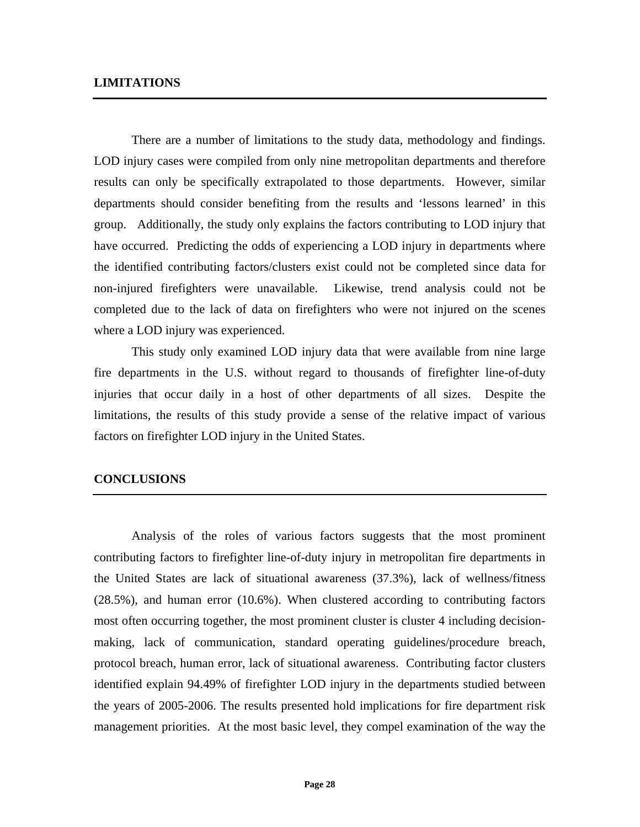# **LIMITATIONS**

There are a number of limitations to the study data, methodology and findings. LOD injury cases were compiled from only nine metropolitan departments and therefore results can only be specifically extrapolated to those departments. However, similar departments should consider benefiting from the results and 'lessons learned' in this group. Additionally, the study only explains the factors contributing to LOD injury that have occurred. Predicting the odds of experiencing a LOD injury in departments where the identified contributing factors/clusters exist could not be completed since data for non-injured firefighters were unavailable. Likewise, trend analysis could not be completed due to the lack of data on firefighters who were not injured on the scenes where a LOD injury was experienced.

This study only examined LOD injury data that were available from nine large fire departments in the U.S. without regard to thousands of firefighter line-of-duty injuries that occur daily in a host of other departments of all sizes. Despite the limitations, the results of this study provide a sense of the relative impact of various factors on firefighter LOD injury in the United States.

## **CONCLUSIONS**

Analysis of the roles of various factors suggests that the most prominent contributing factors to firefighter line-of-duty injury in metropolitan fire departments in the United States are lack of situational awareness (37.3%), lack of wellness/fitness (28.5%), and human error (10.6%). When clustered according to contributing factors most often occurring together, the most prominent cluster is cluster 4 including decisionmaking, lack of communication, standard operating guidelines/procedure breach, protocol breach, human error, lack of situational awareness. Contributing factor clusters identified explain 94.49% of firefighter LOD injury in the departments studied between the years of 2005-2006. The results presented hold implications for fire department risk management priorities. At the most basic level, they compel examination of the way the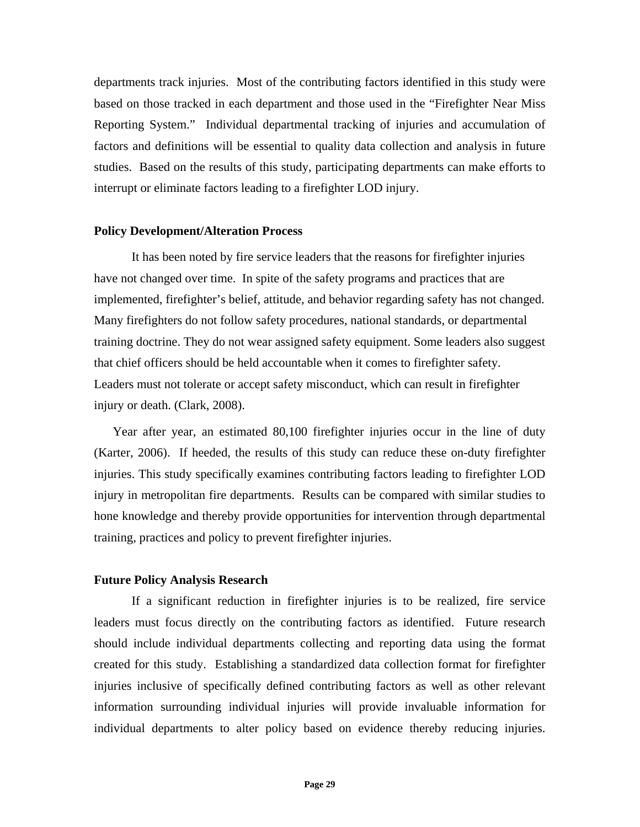departments track injuries. Most of the contributing factors identified in this study were based on those tracked in each department and those used in the "Firefighter Near Miss Reporting System." Individual departmental tracking of injuries and accumulation of factors and definitions will be essential to quality data collection and analysis in future studies. Based on the results of this study, participating departments can make efforts to interrupt or eliminate factors leading to a firefighter LOD injury.

# **Policy Development/Alteration Process**

It has been noted by fire service leaders that the reasons for firefighter injuries have not changed over time. In spite of the safety programs and practices that are implemented, firefighter's belief, attitude, and behavior regarding safety has not changed. Many firefighters do not follow safety procedures, national standards, or departmental training doctrine. They do not wear assigned safety equipment. Some leaders also suggest that chief officers should be held accountable when it comes to firefighter safety. Leaders must not tolerate or accept safety misconduct, which can result in firefighter injury or death. (Clark, 2008).

Year after year, an estimated 80,100 firefighter injuries occur in the line of duty (Karter, 2006). If heeded, the results of this study can reduce these on-duty firefighter injuries. This study specifically examines contributing factors leading to firefighter LOD injury in metropolitan fire departments. Results can be compared with similar studies to hone knowledge and thereby provide opportunities for intervention through departmental training, practices and policy to prevent firefighter injuries.

# **Future Policy Analysis Research**

If a significant reduction in firefighter injuries is to be realized, fire service leaders must focus directly on the contributing factors as identified. Future research should include individual departments collecting and reporting data using the format created for this study. Establishing a standardized data collection format for firefighter injuries inclusive of specifically defined contributing factors as well as other relevant information surrounding individual injuries will provide invaluable information for individual departments to alter policy based on evidence thereby reducing injuries.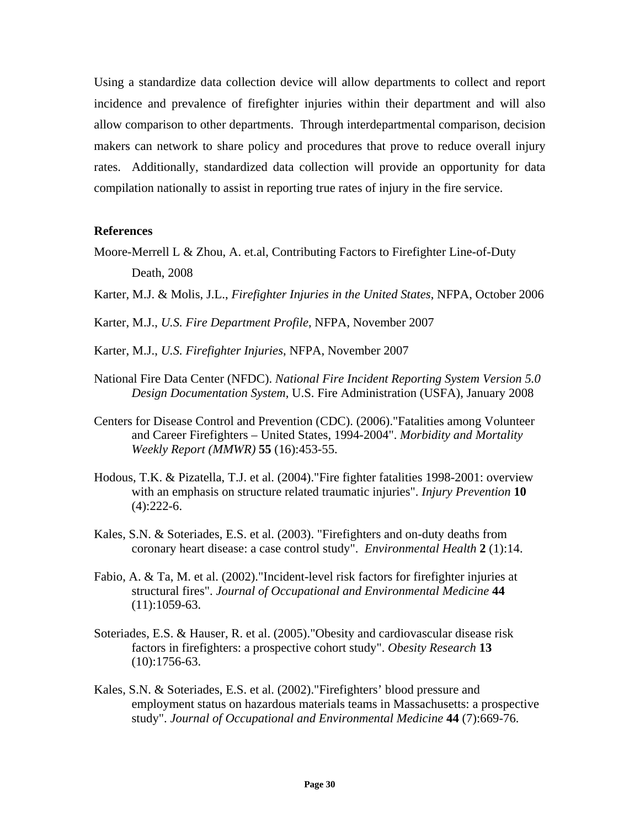Using a standardize data collection device will allow departments to collect and report incidence and prevalence of firefighter injuries within their department and will also allow comparison to other departments. Through interdepartmental comparison, decision makers can network to share policy and procedures that prove to reduce overall injury rates. Additionally, standardized data collection will provide an opportunity for data compilation nationally to assist in reporting true rates of injury in the fire service.

## **References**

- Moore-Merrell L & Zhou, A. et.al, Contributing Factors to Firefighter Line-of-Duty Death, 2008
- Karter, M.J. & Molis, J.L., *Firefighter Injuries in the United States*, NFPA, October 2006
- Karter, M.J., *U.S. Fire Department Profile*, NFPA, November 2007
- Karter, M.J., *U.S. Firefighter Injuries*, NFPA, November 2007
- National Fire Data Center (NFDC). *National Fire Incident Reporting System Version 5.0 Design Documentation System,* U.S. Fire Administration (USFA), January 2008
- Centers for Disease Control and Prevention (CDC). (2006)."Fatalities among Volunteer and Career Firefighters – United States, 1994-2004". *Morbidity and Mortality Weekly Report (MMWR)* **55** (16):453-55.
- Hodous, T.K. & Pizatella, T.J. et al. (2004)."Fire fighter fatalities 1998-2001: overview with an emphasis on structure related traumatic injuries". *Injury Prevention* **10** (4):222-6.
- Kales, S.N. & Soteriades, E.S. et al. (2003). "Firefighters and on-duty deaths from coronary heart disease: a case control study". *Environmental Health* **2** (1):14.
- Fabio, A. & Ta, M. et al. (2002)."Incident-level risk factors for firefighter injuries at structural fires". *Journal of Occupational and Environmental Medicine* **44** (11):1059-63.
- Soteriades, E.S. & Hauser, R. et al. (2005)."Obesity and cardiovascular disease risk factors in firefighters: a prospective cohort study". *Obesity Research* **13** (10):1756-63.
- Kales, S.N. & Soteriades, E.S. et al. (2002)."Firefighters' blood pressure and employment status on hazardous materials teams in Massachusetts: a prospective study". *Journal of Occupational and Environmental Medicine* **44** (7):669-76.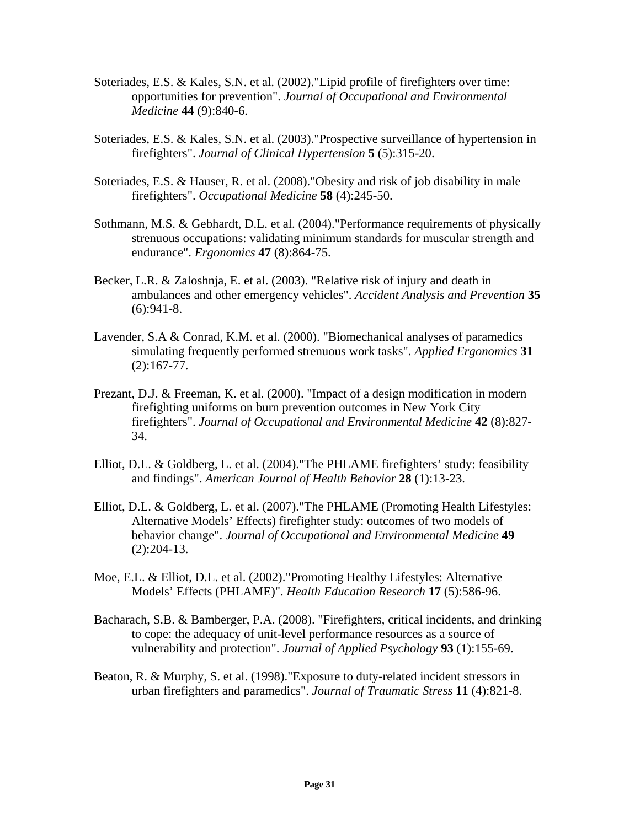- Soteriades, E.S. & Kales, S.N. et al. (2002)."Lipid profile of firefighters over time: opportunities for prevention". *Journal of Occupational and Environmental Medicine* **44** (9):840-6.
- Soteriades, E.S. & Kales, S.N. et al. (2003)."Prospective surveillance of hypertension in firefighters". *Journal of Clinical Hypertension* **5** (5):315-20.
- Soteriades, E.S. & Hauser, R. et al. (2008)."Obesity and risk of job disability in male firefighters". *Occupational Medicine* **58** (4):245-50.
- Sothmann, M.S. & Gebhardt, D.L. et al. (2004)."Performance requirements of physically strenuous occupations: validating minimum standards for muscular strength and endurance". *Ergonomics* **47** (8):864-75.
- Becker, L.R. & Zaloshnja, E. et al. (2003). "Relative risk of injury and death in ambulances and other emergency vehicles". *Accident Analysis and Prevention* **35**   $(6):941-8.$
- Lavender, S.A & Conrad, K.M. et al. (2000). "Biomechanical analyses of paramedics simulating frequently performed strenuous work tasks". *Applied Ergonomics* **31**  (2):167-77.
- Prezant, D.J. & Freeman, K. et al. (2000). "Impact of a design modification in modern firefighting uniforms on burn prevention outcomes in New York City firefighters". *Journal of Occupational and Environmental Medicine* **42** (8):827- 34.
- Elliot, D.L. & Goldberg, L. et al. (2004)."The PHLAME firefighters' study: feasibility and findings". *American Journal of Health Behavior* **28** (1):13-23.
- Elliot, D.L. & Goldberg, L. et al. (2007)."The PHLAME (Promoting Health Lifestyles: Alternative Models' Effects) firefighter study: outcomes of two models of behavior change". *Journal of Occupational and Environmental Medicine* **49** (2):204-13.
- Moe, E.L. & Elliot, D.L. et al. (2002)."Promoting Healthy Lifestyles: Alternative Models' Effects (PHLAME)". *Health Education Research* **17** (5):586-96.
- Bacharach, S.B. & Bamberger, P.A. (2008). "Firefighters, critical incidents, and drinking to cope: the adequacy of unit-level performance resources as a source of vulnerability and protection". *Journal of Applied Psychology* **93** (1):155-69.
- Beaton, R. & Murphy, S. et al. (1998)."Exposure to duty-related incident stressors in urban firefighters and paramedics". *Journal of Traumatic Stress* **11** (4):821-8.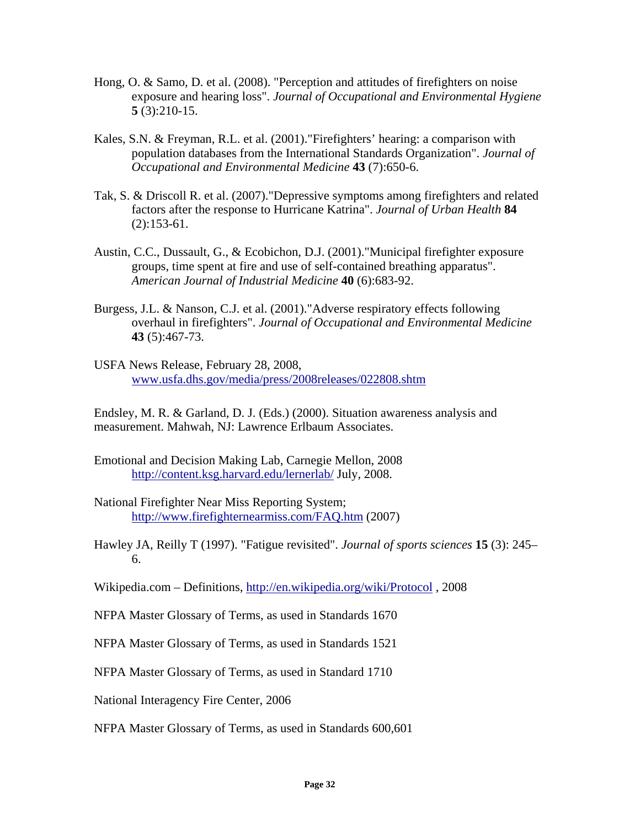- Hong, O. & Samo, D. et al. (2008). "Perception and attitudes of firefighters on noise exposure and hearing loss". *Journal of Occupational and Environmental Hygiene*  **5** (3):210-15.
- Kales, S.N. & Freyman, R.L. et al. (2001)."Firefighters' hearing: a comparison with population databases from the International Standards Organization". *Journal of Occupational and Environmental Medicine* **43** (7):650-6.
- Tak, S. & Driscoll R. et al. (2007)."Depressive symptoms among firefighters and related factors after the response to Hurricane Katrina". *Journal of Urban Health* **84** (2):153-61.
- Austin, C.C., Dussault, G., & Ecobichon, D.J. (2001)."Municipal firefighter exposure groups, time spent at fire and use of self-contained breathing apparatus". *American Journal of Industrial Medicine* **40** (6):683-92.
- Burgess, J.L. & Nanson, C.J. et al. (2001)."Adverse respiratory effects following overhaul in firefighters". *Journal of Occupational and Environmental Medicine* **43** (5):467-73.
- USFA News Release, February 28, 2008, www.usfa.dhs.gov/media/press/2008releases/022808.shtm

Endsley, M. R. & Garland, D. J. (Eds.) (2000). Situation awareness analysis and measurement. Mahwah, NJ: Lawrence Erlbaum Associates.

- Emotional and Decision Making Lab, Carnegie Mellon, 2008 http://content.ksg.harvard.edu/lernerlab/ July, 2008.
- National Firefighter Near Miss Reporting System; http://www.firefighternearmiss.com/FAQ.htm (2007)
- Hawley JA, Reilly T (1997). "Fatigue revisited". *Journal of sports sciences* **15** (3): 245– 6.
- Wikipedia.com Definitions, http://en.wikipedia.org/wiki/Protocol , 2008
- NFPA Master Glossary of Terms, as used in Standards 1670
- NFPA Master Glossary of Terms, as used in Standards 1521
- NFPA Master Glossary of Terms, as used in Standard 1710

National Interagency Fire Center, 2006

NFPA Master Glossary of Terms, as used in Standards 600,601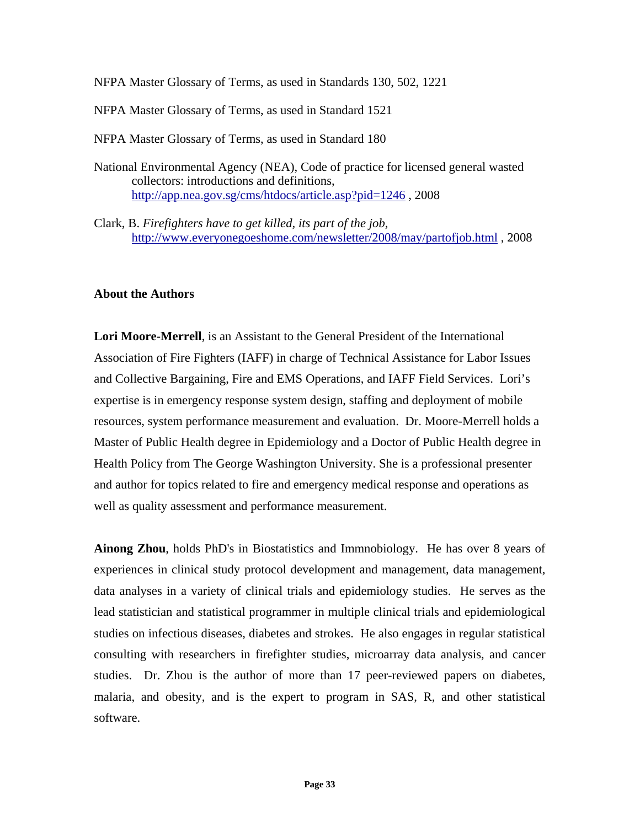NFPA Master Glossary of Terms, as used in Standards 130, 502, 1221

NFPA Master Glossary of Terms, as used in Standard 1521

NFPA Master Glossary of Terms, as used in Standard 180

- National Environmental Agency (NEA), Code of practice for licensed general wasted collectors: introductions and definitions, http://app.nea.gov.sg/cms/htdocs/article.asp?pid=1246 , 2008
- Clark, B. *Firefighters have to get killed, its part of the job,* http://www.everyonegoeshome.com/newsletter/2008/may/partofjob.html , 2008

# **About the Authors**

**Lori Moore-Merrell**, is an Assistant to the General President of the International Association of Fire Fighters (IAFF) in charge of Technical Assistance for Labor Issues and Collective Bargaining, Fire and EMS Operations, and IAFF Field Services. Lori's expertise is in emergency response system design, staffing and deployment of mobile resources, system performance measurement and evaluation. Dr. Moore-Merrell holds a Master of Public Health degree in Epidemiology and a Doctor of Public Health degree in Health Policy from The George Washington University. She is a professional presenter and author for topics related to fire and emergency medical response and operations as well as quality assessment and performance measurement.

**Ainong Zhou**, holds PhD's in Biostatistics and Immnobiology. He has over 8 years of experiences in clinical study protocol development and management, data management, data analyses in a variety of clinical trials and epidemiology studies. He serves as the lead statistician and statistical programmer in multiple clinical trials and epidemiological studies on infectious diseases, diabetes and strokes. He also engages in regular statistical consulting with researchers in firefighter studies, microarray data analysis, and cancer studies. Dr. Zhou is the author of more than 17 peer-reviewed papers on diabetes, malaria, and obesity, and is the expert to program in SAS, R, and other statistical software.